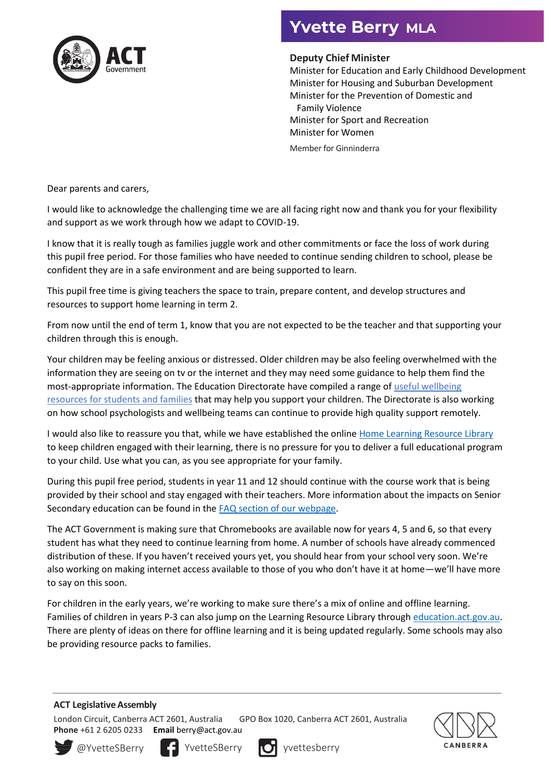

## **Yvette Berry MLA**

## **Deputy Chief Minister**

Minister for Education and Early Childhood Development Minister for Housing and Suburban Development Minister for the Prevention of Domestic and Family Violence Minister for Sport and Recreation Minister for Women

Member for Ginninderra

Dear parents and carers,

I would like to acknowledge the challenging time we are all facing right now and thank you for your flexibility and support as we work through how we adapt to COVID-19.

I know that it is really tough as families juggle work and other commitments or face the loss of work during this pupil free period. For those families who have needed to continue sending children to school, please be confident they are in a safe environment and are being supported to learn.

This pupil free time is giving teachers the space to train, prepare content, and develop structures and resources to support home learning in term 2.

From now until the end of term 1, know that you are not expected to be the teacher and that supporting your children through this is enough.

Your children may be feeling anxious or distressed. Older children may be also feeling overwhelmed with the information they are seeing on tv or the internet and they may need some guidance to help them find the most-appropriate information. The Education Directorate have compiled a range of [useful wellbeing](https://www.education.act.gov.au/public-school-life/information-on-novel-coronavirus-covid-19)  [resources for students and families](https://www.education.act.gov.au/public-school-life/information-on-novel-coronavirus-covid-19) that may help you support your children. The Directorate is also working on how school psychologists and wellbeing teams can continue to provide high quality support remotely.

I would also like to reassure you that, while we have established the online [Home Learning Resource Library](https://sites.google.com/ed.act.edu.au/act-home-learning/resources-to-support-home-learning) to keep children engaged with their learning, there is no pressure for you to deliver a full educational program to your child. Use what you can, as you see appropriate for your family.

During this pupil free period, students in year 11 and 12 should continue with the course work that is being provided by their school and stay engaged with their teachers. More information about the impacts on Senior Secondary education can be found in th[e FAQ section of our](https://www.education.act.gov.au/public-school-life/information-on-novel-coronavirus-covid-19/covid-19-frequently-asked-questions-for-school-communities) webpage.

The ACT Government is making sure that Chromebooks are available now for years 4, 5 and 6, so that every student has what they need to continue learning from home. A number of schools have already commenced distribution of these. If you haven't received yours yet, you should hear from your school very soon. We're also working on making internet access available to those of you who don't have it at home—we'll have more to say on this soon.

For children in the early years, we're working to make sure there's a mix of online and offline learning. Families of children in years P-3 can also jump on the Learning Resource Library throug[h education.act.gov.au.](https://www.education.act.gov.au/) There are plenty of ideas on there for offline learning and it is being updated regularly. Some schools may also be providing resource packs to families.

## **ACT Legislative Assembly**

London Circuit, Canberra ACT 2601, Australia GPO Box 1020, Canberra ACT 2601, Australia **Phone** +61 2 6205 0233 **Email** [berry@act.gov.au](mailto:Email%20berry@act.gov.au)